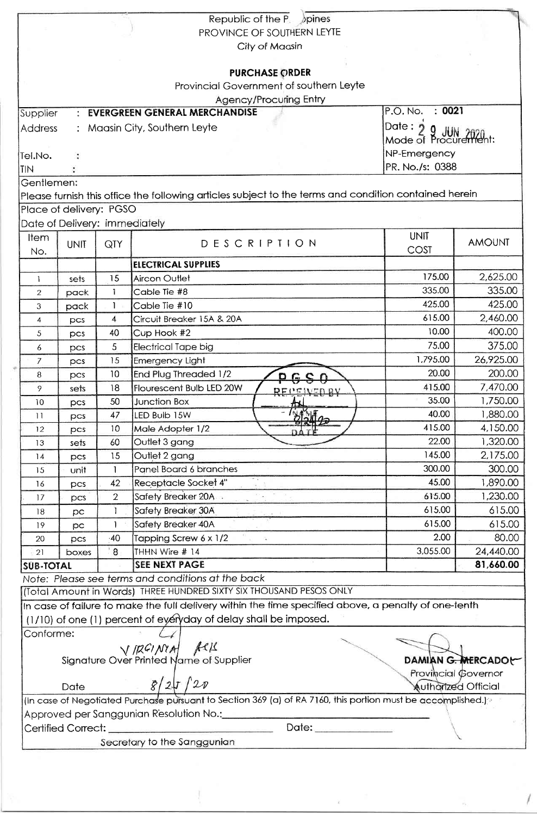|                  |                               |                 | Republic of the $P_1$ pines                                                                                              |                            |                    |
|------------------|-------------------------------|-----------------|--------------------------------------------------------------------------------------------------------------------------|----------------------------|--------------------|
|                  |                               |                 | PROVINCE OF SOUTHERN LEYTE                                                                                               |                            |                    |
|                  |                               |                 | City of Maasin                                                                                                           |                            |                    |
|                  |                               |                 |                                                                                                                          |                            |                    |
|                  |                               |                 | <b>PURCHASE ORDER</b>                                                                                                    |                            |                    |
|                  |                               |                 | Provincial Government of southern Leyte                                                                                  |                            |                    |
|                  |                               |                 | <b>Agency/Procuring Entry</b>                                                                                            | : 0021<br>P.O. No.         |                    |
| Supplier         | $\bullet$                     |                 | <b>EVERGREEN GENERAL MERCHANDISE</b>                                                                                     |                            |                    |
| <b>Address</b>   |                               |                 | : Maasin City, Southern Leyte                                                                                            | Date: $2$<br>.HHV          |                    |
|                  |                               |                 |                                                                                                                          | Mode of Procurentent:      |                    |
| Tel.No.          |                               |                 |                                                                                                                          | NP-Emergency               |                    |
| <b>TIN</b>       |                               |                 |                                                                                                                          | PR. No./s: 0388            |                    |
| Gentlemen:       |                               |                 |                                                                                                                          |                            |                    |
|                  |                               |                 | Please furnish this office the following articles subject to the terms and condition contained herein                    |                            |                    |
|                  | Place of delivery: PGSO       |                 |                                                                                                                          |                            |                    |
|                  | Date of Delivery: immediately |                 |                                                                                                                          |                            |                    |
| <b>Item</b>      | <b>UNIT</b>                   | QTY             | DESCRIPTION                                                                                                              | <b>UNIT</b>                | <b>AMOUNT</b>      |
| No.              |                               |                 |                                                                                                                          | COST                       |                    |
|                  |                               |                 | <b>ELECTRICAL SUPPLIES</b>                                                                                               |                            |                    |
| 1                | sets                          | 15              | Aircon Outlet                                                                                                            | 175.00                     | 2,625.00           |
| $\overline{2}$   | pack                          | 1               | Cable Tie #8                                                                                                             | 335.00                     | 335.00             |
| 3                | pack                          | $\mathbf{1}$    | Cable Tie #10                                                                                                            | 425.00                     | 425.00             |
| 4                | pcs                           | $\overline{4}$  | Circuit Breaker 15A & 20A                                                                                                | 615.00                     | 2,460.00           |
| $\mathfrak{S}$   | pcs                           | 40              | Cup Hook #2                                                                                                              | 10.00                      | 400.00             |
| 6                | pcs                           | 5               | <b>Electrical Tape big</b>                                                                                               | 75.00                      | 375.00             |
| $\overline{7}$   | pcs                           | 15              | Emergency Light                                                                                                          | 1,795.00                   | 26,925.00          |
| 8                | pcs                           | 10              | End Plug Threaded 1/2                                                                                                    | 20.00                      | 200.00             |
| 9                | sets                          | 18              | Flourescent Bulb LED 20W<br><b>REPENEDRY</b>                                                                             | 415.00                     | 7,470.00           |
| 10               | pcs                           | 50              | <b>Junction Box</b>                                                                                                      | 35.00                      | 1,750.00           |
| 11               | pcs                           | 47              | LED Bulb 15W<br>$\frac{1}{2}$                                                                                            | 40.00                      | 1,880.00           |
| 12               | pcs                           | 10 <sup>°</sup> | Male Adopter 1/2                                                                                                         | 415.00                     | 4,150.00           |
| 13               | sets                          | 60              | Outlet 3 gang                                                                                                            | 22.00                      | 1,320.00           |
| 14               | pcs                           | 15              | Outlet 2 gang                                                                                                            | 145.00                     | 2,175.00           |
| 15               | unit                          |                 | Panel Board 6 branches                                                                                                   | 300.00                     | 300.00             |
| 16               | pcs                           | 42              | <b>Receptacle Socket 4"</b>                                                                                              | 45.00                      | 1,890.00           |
| 17               | pcs                           | $\overline{2}$  | Safety Breaker 20A                                                                                                       | 615.00                     | 1,230.00           |
| 18               | pc                            | $\mathbf{I}$    | Safety Breaker 30A                                                                                                       | 615.00                     | 615.00             |
| 19               | pc                            | 1               | Safety Breaker 40A                                                                                                       | 615.00                     | 615.00             |
| 20               | pcs                           | 40              | Tapping Screw 6 x 1/2<br>$\sim$                                                                                          | 2.00                       | 80.00              |
| 21               | boxes                         | ់ 8             | THHN Wire # 14                                                                                                           | 3,055.00                   | 24,440.00          |
| <b>SUB-TOTAL</b> |                               |                 | <b>SEE NEXT PAGE</b>                                                                                                     |                            | 81,660.00          |
|                  |                               |                 | Note: Please see terms and conditions at the back                                                                        |                            |                    |
|                  |                               |                 | (Total Amount in Words) THREE HUNDRED SIXTY SIX THOUSAND PESOS ONLY                                                      |                            |                    |
|                  |                               |                 | In case of failure to make the full delivery within the time specified above, a penalty of one-tenth                     |                            |                    |
|                  |                               |                 | (1/10) of one (1) percent of eyeryday of delay shall be imposed.                                                         |                            |                    |
| Conforme:        |                               |                 |                                                                                                                          |                            |                    |
|                  |                               |                 |                                                                                                                          |                            |                    |
|                  |                               |                 | $\sqrt{ \mathcal{R}G/\mathcal{N}A }$ $\mathcal{M}$ $\mathcal{M}$<br>Signature Over Printed Name of Supplier              |                            | DAMIAN G. MERCADOL |
|                  |                               |                 |                                                                                                                          | Provincial Governor        |                    |
|                  | Date                          |                 | 8/27/20                                                                                                                  | <b>Authorized Official</b> |                    |
|                  |                               |                 | (In case of Negotiated Purchase pursuant to Section 369 (a) of RA 7160, this portion must be accomplished.) <sup>®</sup> |                            |                    |
|                  |                               |                 | Approved per Sanggunian Resolution No.: __________                                                                       |                            |                    |
|                  | Certified Correct: _          |                 |                                                                                                                          |                            |                    |
|                  |                               |                 | Secretary to the Sanggunian                                                                                              |                            |                    |
|                  |                               |                 |                                                                                                                          |                            |                    |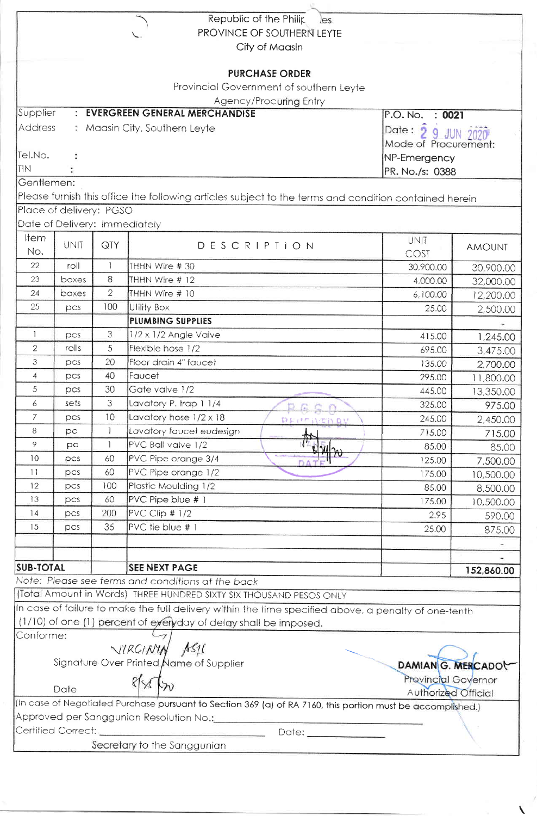|                  |                               |                | Republic of the Philip<br>les                                                                                                                          |                      |               |  |
|------------------|-------------------------------|----------------|--------------------------------------------------------------------------------------------------------------------------------------------------------|----------------------|---------------|--|
|                  |                               |                | PROVINCE OF SOUTHERN LEYTE                                                                                                                             |                      |               |  |
|                  |                               |                | City of Maasin                                                                                                                                         |                      |               |  |
|                  |                               |                |                                                                                                                                                        |                      |               |  |
|                  |                               |                | <b>PURCHASE ORDER</b>                                                                                                                                  |                      |               |  |
|                  |                               |                | Provincial Government of southern Leyte                                                                                                                |                      |               |  |
| Supplier         |                               |                | Agency/Procuring Entry<br>: EVERGREEN GENERAL MERCHANDISE                                                                                              |                      |               |  |
|                  |                               |                |                                                                                                                                                        | P.O. No.<br>: 0021   |               |  |
| <b>Address</b>   |                               |                | : Maasin City, Southern Leyte                                                                                                                          | Date: 2 9 JUN 2020   |               |  |
|                  |                               |                |                                                                                                                                                        | Mode of Procurement: |               |  |
| Tel.No.          |                               |                |                                                                                                                                                        | NP-Emergency         |               |  |
| <b>TIN</b>       |                               |                |                                                                                                                                                        | PR. No./s: 0388      |               |  |
| Gentlemen:       |                               |                |                                                                                                                                                        |                      |               |  |
|                  |                               |                | Please furnish this office the following articles subject to the terms and condition contained herein                                                  |                      |               |  |
|                  | Place of delivery: PGSO       |                |                                                                                                                                                        |                      |               |  |
|                  | Date of Delivery: immediately |                |                                                                                                                                                        |                      |               |  |
| <b>Item</b>      | <b>UNIT</b>                   | QTY            | DESCRIPTION                                                                                                                                            | UNIT                 | <b>AMOUNT</b> |  |
| No.              |                               |                |                                                                                                                                                        | COST                 |               |  |
| 22               | roll                          | 1              | THHN Wire #30                                                                                                                                          | 30,900.00            | 30,900.00     |  |
| 23               | boxes                         | 8              | THHN Wire # 12                                                                                                                                         | 4,000.00             | 32,000.00     |  |
| 24               | boxes                         | $\overline{2}$ | THHN Wire # 10                                                                                                                                         | 6,100.00             | 12,200.00     |  |
| 25               | pcs                           | 100            | <b>Utility Box</b>                                                                                                                                     | 25.00                | 2,500.00      |  |
|                  |                               |                | PLUMBING SUPPLIES                                                                                                                                      |                      |               |  |
| $\mathbf{1}$     | pcs                           | 3              | $1/2 \times 1/2$ Angle Valve                                                                                                                           | 415.00               | 1,245.00      |  |
| $\overline{2}$   | rolls                         | 5              | Flexible hose 1/2                                                                                                                                      | 695.00               | 3,475.00      |  |
| 3                | DCS                           | 20             | Floor drain 4" faucet                                                                                                                                  | 135.00               | 2,700.00      |  |
| $\overline{4}$   | pcs                           | 40             | Faucet                                                                                                                                                 | 295.00               | 11,800.00     |  |
| 5                | pcs                           | 30             | Gate valve 1/2                                                                                                                                         | 445.00               | 13,350.00     |  |
| 6                | sets                          | 3              | Lavatory P. trap 1 1/4<br>D G C Q                                                                                                                      | 325.00               | 975.00        |  |
| 7                | pcs                           | 10             | Lavatory hose $1/2 \times 18$<br>DEUTIERV                                                                                                              | 245.00               | 2,450.00      |  |
| 8                | pс                            | $\mathbf{1}$   | Lavatory faucet eudesign                                                                                                                               | 715.00               | 715.00        |  |
| 9                | pс                            | 1              | PVC Ball valve 1/2                                                                                                                                     | 85.00                | 85.00         |  |
| 10               | DCS                           | 60             | 4442<br>PVC Pipe orange 3/4                                                                                                                            | 125.00               | 7,500.00      |  |
| $\overline{11}$  | DCS                           | 60             | DATE<br>PVC Pipe orange 1/2                                                                                                                            | 175.00               | 10,500.00     |  |
| 12               | pcs                           | 100            | Plastic Moulding 1/2                                                                                                                                   | 85.00                | 8,500.00      |  |
| 13               | pcs                           | 60             | PVC Pipe blue # 1                                                                                                                                      | 175.00               | 10,500.00     |  |
| 4                | pcs                           | 200            | PVC Clip $# 1/2$                                                                                                                                       | 2.95                 | 590.00        |  |
| 15               | pcs                           | 35             | PVC tie blue # 1                                                                                                                                       | 25.00                |               |  |
|                  |                               |                |                                                                                                                                                        |                      | 875.00        |  |
|                  |                               |                |                                                                                                                                                        |                      |               |  |
| <b>SUB-TOTAL</b> |                               |                | <b>SEE NEXT PAGE</b>                                                                                                                                   |                      |               |  |
|                  |                               |                | Note: Please see terms and conditions at the back                                                                                                      |                      | 152,860.00    |  |
|                  |                               |                | (Total Amount in Words) THREE HUNDRED SIXTY SIX THOUSAND PESOS ONLY                                                                                    |                      |               |  |
|                  |                               |                | In case of failure to make the full delivery within the time specified above, a penalty of one-tenth                                                   |                      |               |  |
|                  |                               |                | (1/10) of one (1) percent of eyerly day of delay shall be imposed.                                                                                     |                      |               |  |
| Conforme:        |                               |                |                                                                                                                                                        |                      |               |  |
|                  |                               |                | VIRGININ ASI                                                                                                                                           |                      |               |  |
|                  |                               |                | Signature Over Printed Name of Supplier                                                                                                                |                      |               |  |
|                  |                               |                |                                                                                                                                                        | DAMIAN G. MERCADOL   |               |  |
|                  | Date                          |                | PALN                                                                                                                                                   | Provincial Governor  |               |  |
|                  |                               |                |                                                                                                                                                        | Authorized Official  |               |  |
|                  |                               |                | (In case of Negotiated Purchase pursuant to Section 369 (a) of RA 7160, this portion must be accomplished.)<br>Approved per Sanggunian Resolution No.: |                      |               |  |
|                  | Certified Correct:            |                |                                                                                                                                                        |                      |               |  |
|                  |                               |                |                                                                                                                                                        |                      |               |  |
|                  |                               |                | Secretary to the Sanggunian                                                                                                                            |                      |               |  |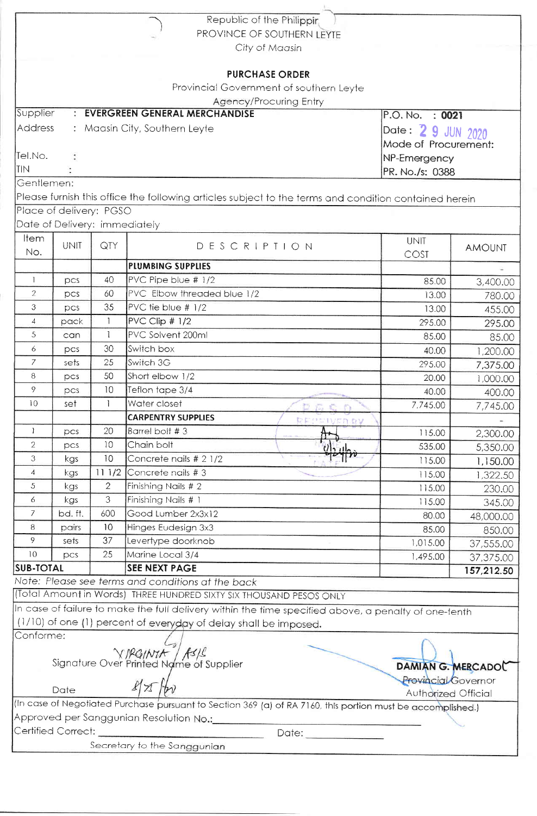|                               |                                         |                | Republic of the Philippir.                                                                                  |                                            |                      |  |
|-------------------------------|-----------------------------------------|----------------|-------------------------------------------------------------------------------------------------------------|--------------------------------------------|----------------------|--|
|                               |                                         |                | PROVINCE OF SOUTHERN LEYTE                                                                                  |                                            |                      |  |
|                               |                                         |                | City of Maasin                                                                                              |                                            |                      |  |
|                               |                                         |                | <b>PURCHASE ORDER</b>                                                                                       |                                            |                      |  |
|                               |                                         |                | Provincial Government of southern Leyte                                                                     |                                            |                      |  |
|                               |                                         |                | <b>Agency/Procuring Entry</b>                                                                               |                                            |                      |  |
| Supplier                      |                                         |                | : EVERGREEN GENERAL MERCHANDISE                                                                             | P.O. No.<br>: 0021                         |                      |  |
| Address                       |                                         |                |                                                                                                             |                                            |                      |  |
| : Maasin City, Southern Leyte |                                         |                |                                                                                                             | Date: 2 9 JUN 2020<br>Mode of Procurement: |                      |  |
| Tel.No.                       |                                         |                |                                                                                                             |                                            |                      |  |
| <b>TIN</b>                    | NP-Emergency<br>PR. No./s: 0388         |                |                                                                                                             |                                            |                      |  |
| Gentlemen:                    |                                         |                |                                                                                                             |                                            |                      |  |
|                               |                                         |                | Please furnish this office the following articles subject to the terms and condition contained herein       |                                            |                      |  |
|                               | Place of delivery: PGSO                 |                |                                                                                                             |                                            |                      |  |
|                               | Date of Delivery: immediately           |                |                                                                                                             |                                            |                      |  |
| Item                          |                                         |                |                                                                                                             | <b>UNIT</b>                                |                      |  |
| No.                           | <b>UNIT</b>                             | QTY            | DESCRIPTION                                                                                                 | COST                                       | <b>AMOUNT</b>        |  |
|                               |                                         |                | PLUMBING SUPPLIES                                                                                           |                                            |                      |  |
| $\mathbf{1}$                  | pcs                                     | 40             | PVC Pipe blue # 1/2                                                                                         | 85.00                                      | 3,400.00             |  |
| $\overline{2}$                | pcs                                     | 60             | PVC Elbow threaded blue 1/2                                                                                 | 13.00                                      | 780.00               |  |
| 3                             | pcs                                     | 35             | PVC fie blue # 1/2                                                                                          | 13.00                                      | 455.00               |  |
| $\overline{4}$                | pack                                    | $\mathbf{1}$   | $PVC$ Clip $# 1/2$                                                                                          | 295.00                                     | 295.00               |  |
| 5                             | can                                     | 1              | PVC Solvent 200ml                                                                                           | 85.00                                      | 85.00                |  |
| 6                             | pcs                                     | 30             | Switch box                                                                                                  | 40.00                                      | 1,200.00             |  |
| $\mathcal{I}$                 | sets                                    | 25             | Switch 3G                                                                                                   | 295.00                                     |                      |  |
| 8                             | pcs                                     | 50             | Short elbow 1/2                                                                                             | 20.00                                      | 7,375.00<br>1,000.00 |  |
| 9                             | pcs                                     | 10             | Teflon tape 3/4                                                                                             | 40.00                                      | 400.00               |  |
| 10                            | set                                     |                | Water closet<br>D E C C                                                                                     | 7,745.00                                   | 7,745.00             |  |
|                               |                                         |                | <b>CARPENTRY SUPPLIES</b><br><b>DEPEIVER BY</b>                                                             |                                            |                      |  |
| 1                             | pcs                                     | 20             | Barrel bolt #3                                                                                              | 115.00                                     | 2,300.00             |  |
| $\overline{2}$                | pcs                                     | 10             | ኵ<br>Chain bolt                                                                                             | 535.00                                     | 5,350.00             |  |
| 3                             | kgs                                     | 10             | Ulzulgo<br>Concrete nails # 2 1/2                                                                           | 115.00                                     | 1,150.00             |  |
| 4                             | kgs                                     | 111/2          | Concrete nails #3                                                                                           | 115.00                                     | 1,322.50             |  |
| 5                             | kgs                                     | $\overline{2}$ | Finishing Nails # 2                                                                                         | 115.00                                     | 230.00               |  |
| 6                             | kgs                                     | 3              | Finishing Nails # 1                                                                                         | 115.00                                     | 345.00               |  |
| 7                             | bd. ft.                                 | 600            | Good Lumber 2x3x12                                                                                          | 80.00                                      | 48,000.00            |  |
| 8                             | pairs                                   | 10             | Hinges Eudesign 3x3                                                                                         | 85.00                                      | 850.00               |  |
| 9                             | sets                                    | 37             | Levertype doorknob                                                                                          | 1,015.00                                   | 37,555.00            |  |
| 10                            | DCS                                     | 25             | Marine Local 3/4                                                                                            | 1,495.00                                   | 37,375.00            |  |
| <b>SUB-TOTAL</b>              |                                         |                | <b>SEE NEXT PAGE</b>                                                                                        |                                            | 157,212.50           |  |
|                               |                                         |                | Note: Please see terms and conditions at the back                                                           |                                            |                      |  |
|                               |                                         |                | (Total Amount in Words) THREE HUNDRED SIXTY SIX THOUSAND PESOS ONLY                                         |                                            |                      |  |
|                               |                                         |                | In case of failure to make the full delivery within the time specified above, a penalty of one-tenth        |                                            |                      |  |
|                               |                                         |                | (1/10) of one (1) percent of everyday of delay shall be imposed.                                            |                                            |                      |  |
| Conforme:                     |                                         |                |                                                                                                             |                                            |                      |  |
|                               |                                         |                | V PGINIA As/L<br>Signature Over Printed Name of Supplier                                                    |                                            |                      |  |
|                               |                                         |                |                                                                                                             | DAMIAN G. MERCADOL                         |                      |  |
|                               |                                         |                |                                                                                                             | <b>Provincial Governor</b>                 |                      |  |
|                               | $87$ /br<br>Date<br>Authorized Official |                |                                                                                                             |                                            |                      |  |
|                               |                                         |                | (In case of Negotiated Purchase pursuant to Section 369 (a) of RA 7160, this portion must be accomplished.) |                                            |                      |  |
|                               |                                         |                |                                                                                                             |                                            |                      |  |
|                               |                                         |                | Approved per Sanggunian Resolution No.:                                                                     |                                            |                      |  |
|                               | Certified Correct:                      |                | Secretary to the Sanggunian                                                                                 |                                            |                      |  |